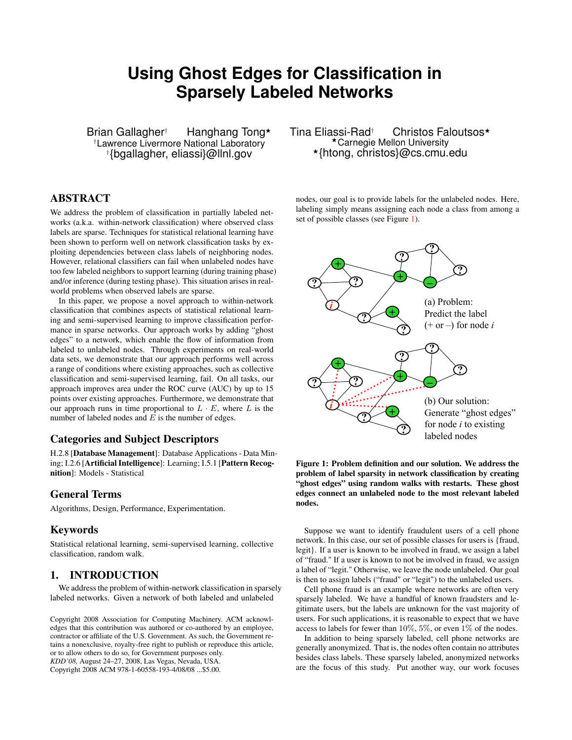# **Using Ghost Edges for Classification in Sparsely Labeled Networks**

Brian Gallagher<sup>†</sup> Hanghang Tong\* †Lawrence Livermore National Laboratory †{bgallagher, eliassi}@llnl.gov

# ABSTRACT

We address the problem of classification in partially labeled networks (a.k.a. within-network classification) where observed class labels are sparse. Techniques for statistical relational learning have been shown to perform well on network classification tasks by exploiting dependencies between class labels of neighboring nodes. However, relational classifiers can fail when unlabeled nodes have too few labeled neighbors to support learning (during training phase) and/or inference (during testing phase). This situation arises in realworld problems when observed labels are sparse.

In this paper, we propose a novel approach to within-network classification that combines aspects of statistical relational learning and semi-supervised learning to improve classification performance in sparse networks. Our approach works by adding "ghost edges" to a network, which enable the flow of information from labeled to unlabeled nodes. Through experiments on real-world data sets, we demonstrate that our approach performs well across a range of conditions where existing approaches, such as collective classification and semi-supervised learning, fail. On all tasks, our approach improves area under the ROC curve (AUC) by up to 15 points over existing approaches. Furthermore, we demonstrate that our approach runs in time proportional to  $L \cdot E$ , where L is the number of labeled nodes and  $E$  is the number of edges.

### Categories and Subject Descriptors

H.2.8 [Database Management]: Database Applications - Data Mining; I.2.6 [Artificial Intelligence]: Learning; I.5.1 [Pattern Recognition]: Models - Statistical

## General Terms

Algorithms, Design, Performance, Experimentation.

## Keywords

Statistical relational learning, semi-supervised learning, collective classification, random walk.

# <span id="page-0-1"></span>1. INTRODUCTION

We address the problem of within-network classification in sparsely labeled networks. Given a network of both labeled and unlabeled

Copyright 2008 Association for Computing Machinery. ACM acknowledges that this contribution was authored or co-authored by an employee, contractor or affiliate of the U.S. Government. As such, the Government retains a nonexclusive, royalty-free right to publish or reproduce this article, or to allow others to do so, for Government purposes only. *KDD'08,* August 24–27, 2008, Las Vegas, Nevada, USA. Copyright 2008 ACM 978-1-60558-193-4/08/08 ...\$5.00.

Tina Eliassi-Rad<sup>†</sup> Christos Faloutsos\* !Carnegie Mellon University !{htong, christos}@cs.cmu.edu

nodes, our goal is to provide labels for the unlabeled nodes. Here, labeling simply means assigning each node a class from among a set of possible classes (see Figure [1\)](#page-0-0).



<span id="page-0-0"></span>Figure 1: Problem definition and our solution. We address the problem of label sparsity in network classification by creating "ghost edges" using random walks with restarts. These ghost edges connect an unlabeled node to the most relevant labeled nodes.

Suppose we want to identify fraudulent users of a cell phone network. In this case, our set of possible classes for users is {fraud, legit}. If a user is known to be involved in fraud, we assign a label of "fraud." If a user is known to not be involved in fraud, we assign a label of "legit." Otherwise, we leave the node unlabeled. Our goal is then to assign labels ("fraud" or "legit") to the unlabeled users.

Cell phone fraud is an example where networks are often very sparsely labeled. We have a handful of known fraudsters and legitimate users, but the labels are unknown for the vast majority of users. For such applications, it is reasonable to expect that we have access to labels for fewer than 10%, 5%, or even 1% of the nodes.

In addition to being sparsely labeled, cell phone networks are generally anonymized. That is, the nodes often contain no attributes besides class labels. These sparsely labeled, anonymized networks are the focus of this study. Put another way, our work focuses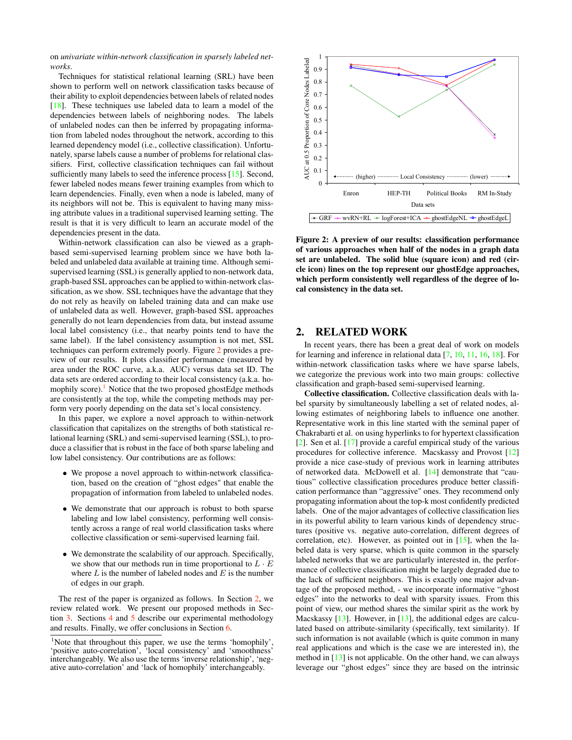on *univariate within-network classification in sparsely labeled networks*.

Techniques for statistical relational learning (SRL) have been shown to perform well on network classification tasks because of their ability to exploit dependencies between labels of related nodes [\[18\]](#page-8-1). These techniques use labeled data to learn a model of the dependencies between labels of neighboring nodes. The labels of unlabeled nodes can then be inferred by propagating information from labeled nodes throughout the network, according to this learned dependency model (i.e., collective classification). Unfortunately, sparse labels cause a number of problems for relational classifiers. First, collective classification techniques can fail without sufficiently many labels to seed the inference process [\[15\]](#page-8-2). Second, fewer labeled nodes means fewer training examples from which to learn dependencies. Finally, even when a node is labeled, many of its neighbors will not be. This is equivalent to having many missing attribute values in a traditional supervised learning setting. The result is that it is very difficult to learn an accurate model of the dependencies present in the data.

Within-network classification can also be viewed as a graphbased semi-supervised learning problem since we have both labeled and unlabeled data available at training time. Although semisupervised learning (SSL) is generally applied to non-network data, graph-based SSL approaches can be applied to within-network classification, as we show. SSL techniques have the advantage that they do not rely as heavily on labeled training data and can make use of unlabeled data as well. However, graph-based SSL approaches generally do not learn dependencies from data, but instead assume local label consistency (i.e., that nearby points tend to have the same label). If the label consistency assumption is not met, SSL techniques can perform extremely poorly. Figure [2](#page-1-0) provides a preview of our results. It plots classifier performance (measured by area under the ROC curve, a.k.a. AUC) versus data set ID. The data sets are ordered according to their local consistency (a.k.a. homophily score).<sup>1</sup> Notice that the two proposed ghostEdge methods are consistently at the top, while the competing methods may perform very poorly depending on the data set's local consistency.

In this paper, we explore a novel approach to within-network classification that capitalizes on the strengths of both statistical relational learning (SRL) and semi-supervised learning (SSL), to produce a classifier that is robust in the face of both sparse labeling and low label consistency. Our contributions are as follows:

- We propose a novel approach to within-network classification, based on the creation of "ghost edges" that enable the propagation of information from labeled to unlabeled nodes.
- We demonstrate that our approach is robust to both sparse labeling and low label consistency, performing well consistently across a range of real world classification tasks where collective classification or semi-supervised learning fail.
- We demonstrate the scalability of our approach. Specifically, we show that our methods run in time proportional to  $L \cdot E$ where  $L$  is the number of labeled nodes and  $E$  is the number of edges in our graph.

The rest of the paper is organized as follows. In Section [2,](#page-1-2) we review related work. We present our proposed methods in Section [3.](#page-2-0) Sections [4](#page-3-0) and [5](#page-5-0) describe our experimental methodology and results. Finally, we offer conclusions in Section [6.](#page-5-1)



<span id="page-1-0"></span>Figure 2: A preview of our results: classification performance of various approaches when half of the nodes in a graph data set are unlabeled. The solid blue (square icon) and red (circle icon) lines on the top represent our ghostEdge approaches, which perform consistently well regardless of the degree of local consistency in the data set.

#### <span id="page-1-2"></span>2. RELATED WORK

In recent years, there has been a great deal of work on models for learning and inference in relational data [\[7,](#page-7-0) [10,](#page-8-3) [11,](#page-8-4) [16,](#page-8-5) [18\]](#page-8-1). For within-network classification tasks where we have sparse labels, we categorize the previous work into two main groups: collective classification and graph-based semi-supervised learning.

Collective classification. Collective classification deals with label sparsity by simultaneously labelling a set of related nodes, allowing estimates of neighboring labels to influence one another. Representative work in this line started with the seminal paper of Chakrabarti et al. on using hyperlinks to for hypertext classification [\[2\]](#page-7-1). Sen et al. [\[17\]](#page-8-6) provide a careful empirical study of the various procedures for collective inference. Macskassy and Provost [\[12\]](#page-8-7) provide a nice case-study of previous work in learning attributes of networked data. McDowell et al. [\[14\]](#page-8-8) demonstrate that "cautious" collective classification procedures produce better classification performance than "aggressive" ones. They recommend only propagating information about the top-k most confidently predicted labels. One of the major advantages of collective classification lies in its powerful ability to learn various kinds of dependency structures (positive vs. negative auto-correlation, different degrees of correlation, etc). However, as pointed out in  $[15]$ , when the labeled data is very sparse, which is quite common in the sparsely labeled networks that we are particularly interested in, the performance of collective classification might be largely degraded due to the lack of sufficient neighbors. This is exactly one major advantage of the proposed method, - we incorporate informative "ghost edges" into the networks to deal with sparsity issues. From this point of view, our method shares the similar spirit as the work by Macskassy [\[13\]](#page-8-0). However, in [13], the additional edges are calculated based on attribute-similarity (specifically, text similarity). If such information is not available (which is quite common in many real applications and which is the case we are interested in), the method in [\[13\]](#page-8-0) is not applicable. On the other hand, we can always leverage our "ghost edges" since they are based on the intrinsic

<span id="page-1-1"></span><sup>&</sup>lt;sup>1</sup>Note that throughout this paper, we use the terms 'homophily', 'positive auto-correlation', 'local consistency' and 'smoothness' interchangeably. We also use the terms 'inverse relationship', 'negative auto-correlation' and 'lack of homophily' interchangeably.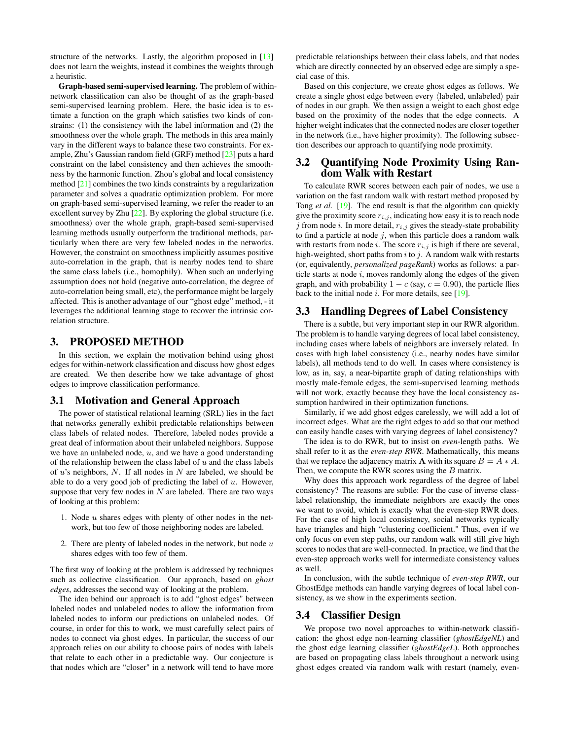structure of the networks. Lastly, the algorithm proposed in [\[13\]](#page-8-0) does not learn the weights, instead it combines the weights through a heuristic.

Graph-based semi-supervised learning. The problem of withinnetwork classification can also be thought of as the graph-based semi-supervised learning problem. Here, the basic idea is to estimate a function on the graph which satisfies two kinds of constrains: (1) the consistency with the label information and (2) the smoothness over the whole graph. The methods in this area mainly vary in the different ways to balance these two constraints. For example, Zhu's Gaussian random field (GRF) method [\[23\]](#page-8-10) puts a hard constraint on the label consistency and then achieves the smoothness by the harmonic function. Zhou's global and local consistency method [\[21\]](#page-8-11) combines the two kinds constraints by a regularization parameter and solves a quadratic optimization problem. For more on graph-based semi-supervised learning, we refer the reader to an excellent survey by Zhu [\[22\]](#page-8-12). By exploring the global structure (i.e. smoothness) over the whole graph, graph-based semi-supervised learning methods usually outperform the traditional methods, particularly when there are very few labeled nodes in the networks. However, the constraint on smoothness implicitly assumes positive auto-correlation in the graph, that is nearby nodes tend to share the same class labels (i.e., homophily). When such an underlying assumption does not hold (negative auto-correlation, the degree of auto-correlation being small, etc), the performance might be largely affected. This is another advantage of our "ghost edge" method, - it leverages the additional learning stage to recover the intrinsic correlation structure.

## <span id="page-2-0"></span>3. PROPOSED METHOD

In this section, we explain the motivation behind using ghost edges for within-network classification and discuss how ghost edges are created. We then describe how we take advantage of ghost edges to improve classification performance.

#### 3.1 Motivation and General Approach

The power of statistical relational learning (SRL) lies in the fact that networks generally exhibit predictable relationships between class labels of related nodes. Therefore, labeled nodes provide a great deal of information about their unlabeled neighbors. Suppose we have an unlabeled node,  $u$ , and we have a good understanding of the relationship between the class label of  $u$  and the class labels of  $u$ 's neighbors,  $N$ . If all nodes in  $N$  are labeled, we should be able to do a very good job of predicting the label of  $u$ . However, suppose that very few nodes in  $N$  are labeled. There are two ways of looking at this problem:

- 1. Node  $u$  shares edges with plenty of other nodes in the network, but too few of those neighboring nodes are labeled.
- 2. There are plenty of labeled nodes in the network, but node  $u$ shares edges with too few of them.

The first way of looking at the problem is addressed by techniques such as collective classification. Our approach, based on *ghost edges*, addresses the second way of looking at the problem.

The idea behind our approach is to add "ghost edges" between labeled nodes and unlabeled nodes to allow the information from labeled nodes to inform our predictions on unlabeled nodes. Of course, in order for this to work, we must carefully select pairs of nodes to connect via ghost edges. In particular, the success of our approach relies on our ability to choose pairs of nodes with labels that relate to each other in a predictable way. Our conjecture is that nodes which are "closer" in a network will tend to have more

predictable relationships between their class labels, and that nodes which are directly connected by an observed edge are simply a special case of this.

Based on this conjecture, we create ghost edges as follows. We create a single ghost edge between every  $\langle$ labeled, unlabeled $\rangle$  pair of nodes in our graph. We then assign a weight to each ghost edge based on the proximity of the nodes that the edge connects. A higher weight indicates that the connected nodes are closer together in the network (i.e., have higher proximity). The following subsection describes our approach to quantifying node proximity.

## 3.2 Quantifying Node Proximity Using Random Walk with Restart

To calculate RWR scores between each pair of nodes, we use a variation on the fast random walk with restart method proposed by Tong *et al.* [\[19\]](#page-8-9). The end result is that the algorithm can quickly give the proximity score  $r_{i,j}$ , indicating how easy it is to reach node  $j$  from node  $i$ . In more detail,  $r_{i,j}$  gives the steady-state probability to find a particle at node  $j$ , when this particle does a random walk with restarts from node i. The score  $r_{i,j}$  is high if there are several, high-weighted, short paths from  $i$  to  $j$ . A random walk with restarts (or, equivalently, *personalized pageRank*) works as follows: a particle starts at node  $i$ , moves randomly along the edges of the given graph, and with probability  $1 - c$  (say,  $c = 0.90$ ), the particle flies back to the initial node  $i$ . For more details, see [\[19\]](#page-8-9).

## <span id="page-2-1"></span>3.3 Handling Degrees of Label Consistency

There is a subtle, but very important step in our RWR algorithm. The problem is to handle varying degrees of local label consistency, including cases where labels of neighbors are inversely related. In cases with high label consistency (i.e., nearby nodes have similar labels), all methods tend to do well. In cases where consistency is low, as in, say, a near-bipartite graph of dating relationships with mostly male-female edges, the semi-supervised learning methods will not work, exactly because they have the local consistency assumption hardwired in their optimization functions.

Similarly, if we add ghost edges carelessly, we will add a lot of incorrect edges. What are the right edges to add so that our method can easily handle cases with varying degrees of label consistency?

The idea is to do RWR, but to insist on *even*-length paths. We shall refer to it as the *even-step RWR*. Mathematically, this means that we replace the adjacency matrix **A** with its square  $B = A \cdot A$ . Then, we compute the RWR scores using the B matrix.

Why does this approach work regardless of the degree of label consistency? The reasons are subtle: For the case of inverse classlabel relationship, the immediate neighbors are exactly the ones we want to avoid, which is exactly what the even-step RWR does. For the case of high local consistency, social networks typically have triangles and high "clustering coefficient." Thus, even if we only focus on even step paths, our random walk will still give high scores to nodes that are well-connected. In practice, we find that the even-step approach works well for intermediate consistency values as well.

In conclusion, with the subtle technique of *even-step RWR*, our GhostEdge methods can handle varying degrees of local label consistency, as we show in the experiments section.

### 3.4 Classifier Design

We propose two novel approaches to within-network classification: the ghost edge non-learning classifier (*ghostEdgeNL*) and the ghost edge learning classifier (*ghostEdgeL*). Both approaches are based on propagating class labels throughout a network using ghost edges created via random walk with restart (namely, even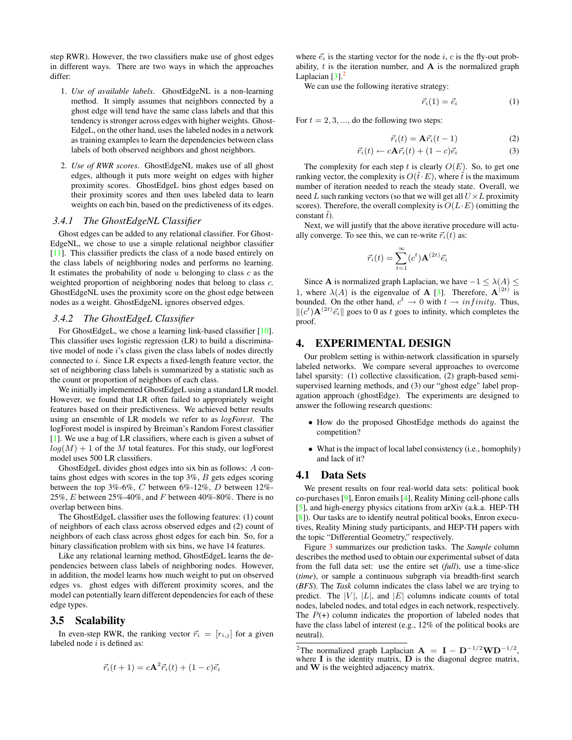step RWR). However, the two classifiers make use of ghost edges in different ways. There are two ways in which the approaches differ:

- 1. *Use of available labels*. GhostEdgeNL is a non-learning method. It simply assumes that neighbors connected by a ghost edge will tend have the same class labels and that this tendency is stronger across edges with higher weights. Ghost-EdgeL, on the other hand, uses the labeled nodes in a network as training examples to learn the dependencies between class labels of both observed neighbors and ghost neighbors.
- 2. *Use of RWR scores*. GhostEdgeNL makes use of all ghost edges, although it puts more weight on edges with higher proximity scores. GhostEdgeL bins ghost edges based on their proximity scores and then uses labeled data to learn weights on each bin, based on the predictiveness of its edges.

#### <span id="page-3-2"></span>*3.4.1 The GhostEdgeNL Classifier*

Ghost edges can be added to any relational classifier. For Ghost-EdgeNL, we chose to use a simple relational neighbor classifier [\[11\]](#page-8-4). This classifier predicts the class of a node based entirely on the class labels of neighboring nodes and performs no learning. It estimates the probability of node  $u$  belonging to class  $c$  as the weighted proportion of neighboring nodes that belong to class c. GhostEdgeNL uses the proximity score on the ghost edge between nodes as a weight. GhostEdgeNL ignores observed edges.

#### <span id="page-3-3"></span>*3.4.2 The GhostEdgeL Classifier*

For GhostEdgeL, we chose a learning link-based classifier [\[10\]](#page-8-3). This classifier uses logistic regression (LR) to build a discriminative model of node i's class given the class labels of nodes directly connected to i. Since LR expects a fixed-length feature vector, the set of neighboring class labels is summarized by a statistic such as the count or proportion of neighbors of each class.

We initially implemented GhostEdgeL using a standard LR model. However, we found that LR often failed to appropriately weight features based on their predictiveness. We achieved better results using an ensemble of LR models we refer to as *logForest*. The logForest model is inspired by Breiman's Random Forest classifier [\[1\]](#page-7-2). We use a bag of LR classifiers, where each is given a subset of  $log(M) + 1$  of the M total features. For this study, our logForest model uses 500 LR classifiers.

GhostEdgeL divides ghost edges into six bin as follows: A contains ghost edges with scores in the top 3%, B gets edges scoring between the top 3%-6%, C between 6%-12%, D between 12%- 25%, E between 25%-40%, and F between 40%-80%. There is no overlap between bins.

The GhostEdgeL classifier uses the following features: (1) count of neighbors of each class across observed edges and (2) count of neighbors of each class across ghost edges for each bin. So, for a binary classification problem with six bins, we have 14 features.

Like any relational learning method, GhostEdgeL learns the dependencies between class labels of neighboring nodes. However, in addition, the model learns how much weight to put on observed edges vs. ghost edges with different proximity scores, and the model can potentially learn different dependencies for each of these edge types.

## 3.5 Scalability

In even-step RWR, the ranking vector  $\vec{r_i} = [r_{i,j}]$  for a given labeled node  $i$  is defined as:

$$
\vec{r}_i(t+1) = c\mathbf{A}^2 \vec{r}_i(t) + (1-c)\vec{e}_i
$$

where  $\vec{e}_i$  is the starting vector for the node i, c is the fly-out probability,  $t$  is the iteration number, and  $A$  is the normalized graph Laplacian  $[3]$ <sup>2</sup>

We can use the following iterative strategy:

 $\vec{r}_i(1) = \vec{e}_i$  (1)

For  $t = 2, 3, \dots$ , do the following two steps:

$$
\vec{r_i}(t) = \mathbf{A}\vec{r_i}(t-1) \tag{2}
$$

$$
\vec{r}_i(t) \leftarrow c\mathbf{A}\vec{r}_i(t) + (1-c)\vec{e}_i \tag{3}
$$

The complexity for each step t is clearly  $O(E)$ . So, to get one ranking vector, the complexity is  $O(\tilde{t} \cdot E)$ , where  $\tilde{t}$  is the maximum number of iteration needed to reach the steady state. Overall, we need L such ranking vectors (so that we will get all  $U \times L$  proximity scores). Therefore, the overall complexity is  $O(L \cdot E)$  (omitting the constant  $\tilde{t}$ ).

Next, we will justify that the above iterative procedure will actually converge. To see this, we can re-write  $\vec{r_i}(t)$  as:

$$
\vec{r_i}(t) = \sum_{t=1}^{\infty} (c^t) \mathbf{A}^{(2t)} \vec{e_i}
$$

Since **A** is normalized graph Laplacian, we have  $-1 \le \lambda(A) \le$ 1, where  $\lambda(A)$  is the eigenvalue of **A** [\[3\]](#page-7-3). Therefore,  $\mathbf{A}^{(2t)}$  is bounded. On the other hand,  $c^t \rightarrow 0$  with  $t \rightarrow \infty$  *infinity*. Thus,  $||(c^t) \mathbf{A}^{(2t)} \vec{e}_i||$  goes to 0 as t goes to infinity, which completes the proof.

## <span id="page-3-0"></span>4. EXPERIMENTAL DESIGN

Our problem setting is within-network classification in sparsely labeled networks. We compare several approaches to overcome label sparsity: (1) collective classification, (2) graph-based semisupervised learning methods, and (3) our "ghost edge" label propagation approach (ghostEdge). The experiments are designed to answer the following research questions:

- How do the proposed GhostEdge methods do against the competition?
- What is the impact of local label consistency (i.e., homophily) and lack of it?

#### 4.1 Data Sets

We present results on four real-world data sets: political book co-purchases [\[9\]](#page-8-13), Enron emails [\[4\]](#page-7-4), Reality Mining cell-phone calls [\[5\]](#page-7-5), and high-energy physics citations from arXiv (a.k.a. HEP-TH [\[8\]](#page-8-14)). Our tasks are to identify neutral political books, Enron executives, Reality Mining study participants, and HEP-TH papers with the topic "Differential Geometry," respectively.

Figure [3](#page-4-0) summarizes our prediction tasks. The *Sample* column describes the method used to obtain our experimental subset of data from the full data set: use the entire set (*full*), use a time-slice (*time*), or sample a continuous subgraph via breadth-first search (*BFS*). The *Task* column indicates the class label we are trying to predict. The  $|V|$ ,  $|L|$ , and  $|E|$  columns indicate counts of total nodes, labeled nodes, and total edges in each network, respectively. The  $P(+)$  column indicates the proportion of labeled nodes that have the class label of interest (e.g., 12% of the political books are neutral).

<span id="page-3-1"></span><sup>&</sup>lt;sup>2</sup>The normalized graph Laplacian  $\mathbf{A} = \mathbf{I} - \mathbf{D}^{-1/2}\mathbf{W}\mathbf{D}^{-1/2}$ , where  $I$  is the identity matrix,  $D$  is the diagonal degree matrix, and W is the weighted adjacency matrix.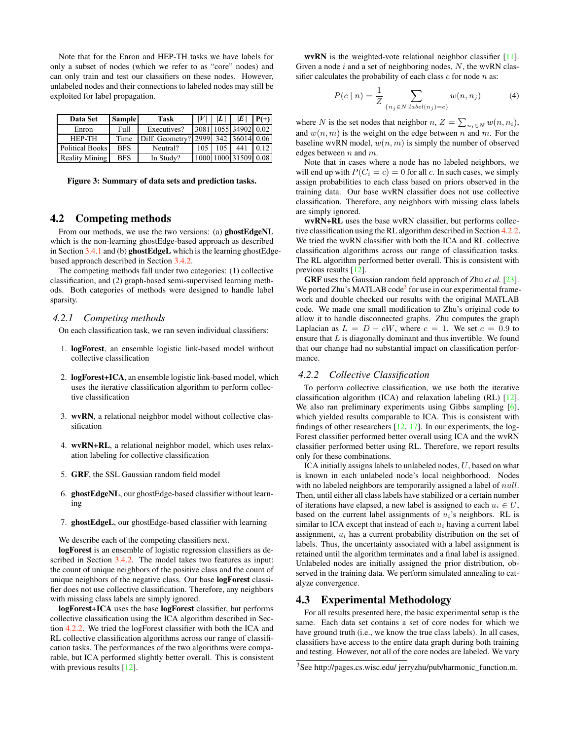Note that for the Enron and HEP-TH tasks we have labels for only a subset of nodes (which we refer to as "core" nodes) and can only train and test our classifiers on these nodes. However, unlabeled nodes and their connections to labeled nodes may still be exploited for label propagation.

| Data Set               | <b>Sample</b> | Task                                |     | L   | ΙE                   | $P(+)$ |
|------------------------|---------------|-------------------------------------|-----|-----|----------------------|--------|
| Enron                  | Full          | Executives?                         |     |     | 3081 1055 34902 0.02 |        |
| HEP-TH                 | Time          | Diff. Geometry? 2999 342 36014 0.06 |     |     |                      |        |
| <b>Political Books</b> | <b>BFS</b>    | Neutral?                            | 105 | 105 | 441                  | 012    |
| Reality Mining         | <b>BFS</b>    | In Study?                           |     |     | 1000 31509 0.08      |        |

<span id="page-4-0"></span>Figure 3: Summary of data sets and prediction tasks.

#### 4.2 Competing methods

From our methods, we use the two versions: (a) ghostEdgeNL which is the non-learning ghostEdge-based approach as described in Section [3.4.1](#page-3-2) and (b) ghostEdgeL which is the learning ghostEdgebased approach described in Section [3.4.2.](#page-3-3)

The competing methods fall under two categories: (1) collective classification, and (2) graph-based semi-supervised learning methods. Both categories of methods were designed to handle label sparsity.

#### *4.2.1 Competing methods*

On each classification task, we ran seven individual classifiers:

- 1. logForest, an ensemble logistic link-based model without collective classification
- 2. logForest+ICA, an ensemble logistic link-based model, which uses the iterative classification algorithm to perform collective classification
- 3. wvRN, a relational neighbor model without collective classification
- 4. wvRN+RL, a relational neighbor model, which uses relaxation labeling for collective classification
- 5. GRF, the SSL Gaussian random field model
- 6. ghostEdgeNL, our ghostEdge-based classifier without learning
- 7. ghostEdgeL, our ghostEdge-based classifier with learning

We describe each of the competing classifiers next.

logForest is an ensemble of logistic regression classifiers as described in Section [3.4.2.](#page-3-3) The model takes two features as input: the count of unique neighbors of the positive class and the count of unique neighbors of the negative class. Our base logForest classifier does not use collective classification. Therefore, any neighbors with missing class labels are simply ignored.

logForest+ICA uses the base logForest classifier, but performs collective classification using the ICA algorithm described in Section [4.2.2.](#page-4-1) We tried the logForest classifier with both the ICA and RL collective classification algorithms across our range of classification tasks. The performances of the two algorithms were comparable, but ICA performed slightly better overall. This is consistent with previous results [\[12\]](#page-8-7).

wvRN is the weighted-vote relational neighbor classifier [\[11\]](#page-8-4). Given a node  $i$  and a set of neighboring nodes,  $N$ , the wvRN classifier calculates the probability of each class  $c$  for node  $n$  as:

$$
P(c | n) = \frac{1}{Z} \sum_{\{n_j \in N | label(n_j) = c\}} w(n, n_j)
$$
 (4)

where *N* is the set nodes that neighbor  $n, Z = \sum_{n_i \in N} w(n, n_i)$ , and  $w(n, m)$  is the weight on the edge between n and m. For the baseline wvRN model,  $w(n, m)$  is simply the number of observed edges between n and m.

Note that in cases where a node has no labeled neighbors, we will end up with  $P(C_i = c) = 0$  for all c. In such cases, we simply assign probabilities to each class based on priors observed in the training data. Our base wvRN classifier does not use collective classification. Therefore, any neighbors with missing class labels are simply ignored.

wvRN+RL uses the base wvRN classifier, but performs collective classification using the RL algorithm described in Section [4.2.2.](#page-4-1) We tried the wvRN classifier with both the ICA and RL collective classification algorithms across our range of classification tasks. The RL algorithm performed better overall. This is consistent with previous results [\[12\]](#page-8-7).

GRF uses the Gaussian random field approach of Zhu et al. [\[23\]](#page-8-10). We ported Zhu's MATLAB code<sup>3</sup> for use in our experimental framework and double checked our results with the original MATLAB code. We made one small modification to Zhu's original code to allow it to handle disconnected graphs. Zhu computes the graph Laplacian as  $L = D - cW$ , where  $c = 1$ . We set  $c = 0.9$  to ensure that  $L$  is diagonally dominant and thus invertible. We found that our change had no substantial impact on classification performance.

#### <span id="page-4-1"></span>*4.2.2 Collective Classification*

To perform collective classification, we use both the iterative classification algorithm (ICA) and relaxation labeling (RL) [\[12\]](#page-8-7). We also ran preliminary experiments using Gibbs sampling [\[6\]](#page-7-6), which yielded results comparable to ICA. This is consistent with findings of other researchers  $[12, 17]$  $[12, 17]$  $[12, 17]$ . In our experiments, the log-Forest classifier performed better overall using ICA and the wvRN classifier performed better using RL. Therefore, we report results only for these combinations.

ICA initially assigns labels to unlabeled nodes,  $U$ , based on what is known in each unlabeled node's local neighborhood. Nodes with no labeled neighbors are temporarily assigned a label of *null*. Then, until either all class labels have stabilized or a certain number of iterations have elapsed, a new label is assigned to each  $u_i \in U$ , based on the current label assignments of u*i*'s neighbors. RL is similar to ICA except that instead of each  $u_i$  having a current label assignment, u*<sup>i</sup>* has a current probability distribution on the set of labels. Thus, the uncertainty associated with a label assignment is retained until the algorithm terminates and a final label is assigned. Unlabeled nodes are initially assigned the prior distribution, observed in the training data. We perform simulated annealing to catalyze convergence.

#### 4.3 Experimental Methodology

For all results presented here, the basic experimental setup is the same. Each data set contains a set of core nodes for which we have ground truth (i.e., we know the true class labels). In all cases, classifiers have access to the entire data graph during both training and testing. However, not all of the core nodes are labeled. We vary

<span id="page-4-2"></span><sup>&</sup>lt;sup>3</sup>See http://pages.cs.wisc.edu/ jerryzhu/pub/harmonic\_function.m.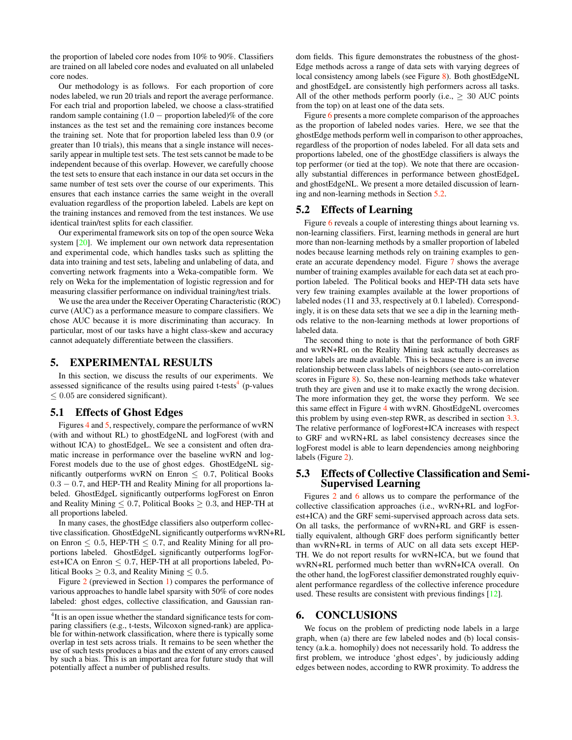the proportion of labeled core nodes from 10% to 90%. Classifiers are trained on all labeled core nodes and evaluated on all unlabeled core nodes.

Our methodology is as follows. For each proportion of core nodes labeled, we run 20 trials and report the average performance. For each trial and proportion labeled, we choose a class-stratified random sample containing  $(1.0 -$  proportion labeled)% of the core instances as the test set and the remaining core instances become the training set. Note that for proportion labeled less than 0.9 (or greater than 10 trials), this means that a single instance will necessarily appear in multiple test sets. The test sets cannot be made to be independent because of this overlap. However, we carefully choose the test sets to ensure that each instance in our data set occurs in the same number of test sets over the course of our experiments. This ensures that each instance carries the same weight in the overall evaluation regardless of the proportion labeled. Labels are kept on the training instances and removed from the test instances. We use identical train/test splits for each classifier.

Our experimental framework sits on top of the open source Weka system [\[20\]](#page-8-15). We implement our own network data representation and experimental code, which handles tasks such as splitting the data into training and test sets, labeling and unlabeling of data, and converting network fragments into a Weka-compatible form. We rely on Weka for the implementation of logistic regression and for measuring classifier performance on individual training/test trials.

We use the area under the Receiver Operating Characteristic (ROC) curve (AUC) as a performance measure to compare classifiers. We chose AUC because it is more discriminating than accuracy. In particular, most of our tasks have a hight class-skew and accuracy cannot adequately differentiate between the classifiers.

#### <span id="page-5-0"></span>5. EXPERIMENTAL RESULTS

In this section, we discuss the results of our experiments. We assessed significance of the results using paired  $t$ -tests<sup>4</sup> (p-values  $< 0.05$  are considered significant).

## 5.1 Effects of Ghost Edges

Figures [4](#page-6-0) and [5,](#page-6-1) respectively, compare the performance of wvRN (with and without RL) to ghostEdgeNL and logForest (with and without ICA) to ghostEdgeL. We see a consistent and often dramatic increase in performance over the baseline wvRN and log-Forest models due to the use of ghost edges. GhostEdgeNL significantly outperforms wvRN on Enron  $\leq$  0.7, Political Books 0.3 – 0.7, and HEP-TH and Reality Mining for all proportions labeled. GhostEdgeL significantly outperforms logForest on Enron and Reality Mining  $\leq 0.7$ , Political Books  $\geq 0.3$ , and HEP-TH at all proportions labeled.

In many cases, the ghostEdge classifiers also outperform collective classification. GhostEdgeNL significantly outperforms wvRN+RL on Enron  $\leq 0.5$ , HEP-TH  $\leq 0.7$ , and Reality Mining for all proportions labeled. GhostEdgeL significantly outperforms logForest+ICA on Enron  $\leq 0.7$ , HEP-TH at all proportions labeled, Political Books  $> 0.3$ , and Reality Mining  $\leq 0.5$ .

Figure [2](#page-1-0) (previewed in Section [1\)](#page-0-1) compares the performance of various approaches to handle label sparsity with 50% of core nodes labeled: ghost edges, collective classification, and Gaussian random fields. This figure demonstrates the robustness of the ghost-Edge methods across a range of data sets with varying degrees of local consistency among labels (see Figure [8\)](#page-8-16). Both ghostEdgeNL and ghostEdgeL are consistently high performers across all tasks. All of the other methods perform poorly (i.e.,  $> 30$  AUC points from the top) on at least one of the data sets.

Figure [6](#page-7-7) presents a more complete comparison of the approaches as the proportion of labeled nodes varies. Here, we see that the ghostEdge methods perform well in comparison to other approaches, regardless of the proportion of nodes labeled. For all data sets and proportions labeled, one of the ghostEdge classifiers is always the top performer (or tied at the top). We note that there are occasionally substantial differences in performance between ghostEdgeL and ghostEdgeNL. We present a more detailed discussion of learning and non-learning methods in Section [5.2.](#page-5-3)

## <span id="page-5-3"></span>5.2 Effects of Learning

Figure [6](#page-7-7) reveals a couple of interesting things about learning vs. non-learning classifiers. First, learning methods in general are hurt more than non-learning methods by a smaller proportion of labeled nodes because learning methods rely on training examples to generate an accurate dependency model. Figure [7](#page-8-17) shows the average number of training examples available for each data set at each proportion labeled. The Political books and HEP-TH data sets have very few training examples available at the lower proportions of labeled nodes (11 and 33, respectively at 0.1 labeled). Correspondingly, it is on these data sets that we see a dip in the learning methods relative to the non-learning methods at lower proportions of labeled data.

The second thing to note is that the performance of both GRF and wvRN+RL on the Reality Mining task actually decreases as more labels are made available. This is because there is an inverse relationship between class labels of neighbors (see auto-correlation scores in Figure [8\)](#page-8-16). So, these non-learning methods take whatever truth they are given and use it to make exactly the wrong decision. The more information they get, the worse they perform. We see this same effect in Figure [4](#page-6-0) with wvRN. GhostEdgeNL overcomes this problem by using even-step RWR, as described in section [3.3.](#page-2-1) The relative performance of logForest+ICA increases with respect to GRF and wvRN+RL as label consistency decreases since the logForest model is able to learn dependencies among neighboring labels (Figure [2\)](#page-1-0).

### 5.3 Effects of Collective Classification and Semi-Supervised Learning

Figures [2](#page-1-0) and [6](#page-7-7) allows us to compare the performance of the collective classification approaches (i.e., wvRN+RL and logForest+ICA) and the GRF semi-supervised approach across data sets. On all tasks, the performance of wvRN+RL and GRF is essentially equivalent, although GRF does perform significantly better than wvRN+RL in terms of AUC on all data sets except HEP-TH. We do not report results for wvRN+ICA, but we found that wvRN+RL performed much better than wvRN+ICA overall. On the other hand, the logForest classifier demonstrated roughly equivalent performance regardless of the collective inference procedure used. These results are consistent with previous findings [\[12\]](#page-8-7).

### <span id="page-5-1"></span>6. CONCLUSIONS

We focus on the problem of predicting node labels in a large graph, when (a) there are few labeled nodes and (b) local consistency (a.k.a. homophily) does not necessarily hold. To address the first problem, we introduce 'ghost edges', by judiciously adding edges between nodes, according to RWR proximity. To address the

<span id="page-5-2"></span><sup>&</sup>lt;sup>4</sup>It is an open issue whether the standard significance tests for comparing classifiers (e.g., t-tests, Wilcoxon signed-rank) are applicable for within-network classification, where there is typically some overlap in test sets across trials. It remains to be seen whether the use of such tests produces a bias and the extent of any errors caused by such a bias. This is an important area for future study that will potentially affect a number of published results.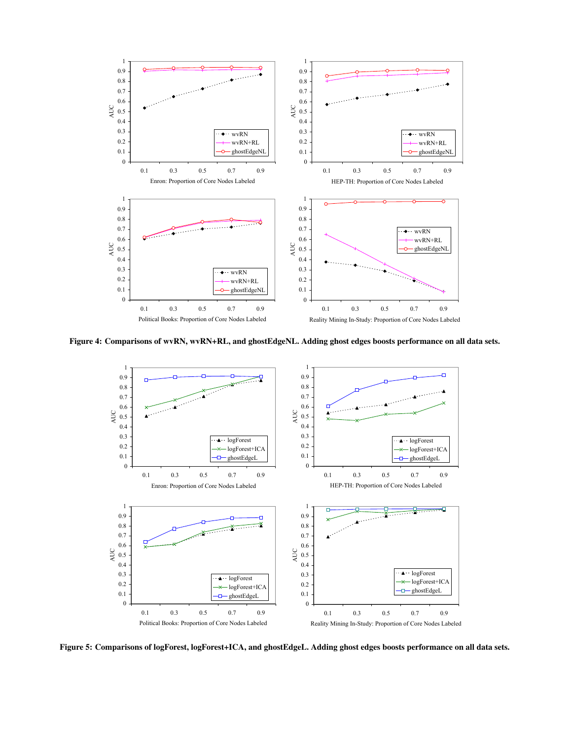

Figure 4: Comparisons of wvRN, wvRN+RL, and ghostEdgeNL. Adding ghost edges boosts performance on all data sets.

<span id="page-6-0"></span>

<span id="page-6-1"></span>Figure 5: Comparisons of logForest, logForest+ICA, and ghostEdgeL. Adding ghost edges boosts performance on all data sets.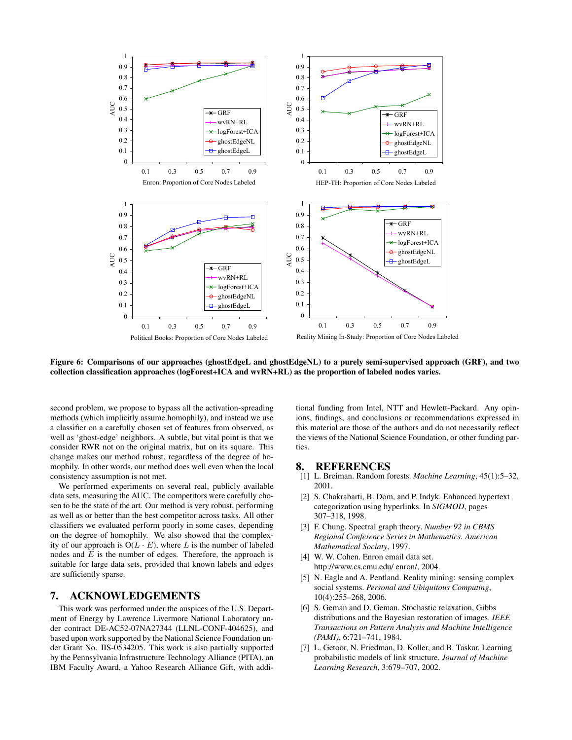

<span id="page-7-7"></span>Figure 6: Comparisons of our approaches (ghostEdgeL and ghostEdgeNL) to a purely semi-supervised approach (GRF), and two collection classification approaches (logForest+ICA and wvRN+RL) as the proportion of labeled nodes varies.

second problem, we propose to bypass all the activation-spreading methods (which implicitly assume homophily), and instead we use a classifier on a carefully chosen set of features from observed, as well as 'ghost-edge' neighbors. A subtle, but vital point is that we consider RWR not on the original matrix, but on its square. This change makes our method robust, regardless of the degree of homophily. In other words, our method does well even when the local consistency assumption is not met.

We performed experiments on several real, publicly available data sets, measuring the AUC. The competitors were carefully chosen to be the state of the art. Our method is very robust, performing as well as or better than the best competitor across tasks. All other classifiers we evaluated perform poorly in some cases, depending on the degree of homophily. We also showed that the complexity of our approach is  $O(L \cdot E)$ , where L is the number of labeled nodes and  $E$  is the number of edges. Therefore, the approach is suitable for large data sets, provided that known labels and edges are sufficiently sparse.

# 7. ACKNOWLEDGEMENTS

This work was performed under the auspices of the U.S. Department of Energy by Lawrence Livermore National Laboratory under contract DE-AC52-07NA27344 (LLNL-CONF-404625), and based upon work supported by the National Science Foundation under Grant No. IIS-0534205. This work is also partially supported by the Pennsylvania Infrastructure Technology Alliance (PITA), an IBM Faculty Award, a Yahoo Research Alliance Gift, with additional funding from Intel, NTT and Hewlett-Packard. Any opinions, findings, and conclusions or recommendations expressed in this material are those of the authors and do not necessarily reflect the views of the National Science Foundation, or other funding parties.

#### 8. REFERENCES

- <span id="page-7-2"></span>[1] L. Breiman. Random forests. *Machine Learning*, 45(1):5–32, 2001.
- <span id="page-7-1"></span>[2] S. Chakrabarti, B. Dom, and P. Indyk. Enhanced hypertext categorization using hyperlinks. In *SIGMOD*, pages 307–318, 1998.
- <span id="page-7-3"></span>[3] F. Chung. Spectral graph theory. *Number 92 in CBMS Regional Conference Series in Mathematics. American Mathematical Sociaty*, 1997.
- <span id="page-7-4"></span>[4] W. W. Cohen. Enron email data set. http://www.cs.cmu.edu/ enron/, 2004.
- <span id="page-7-5"></span>[5] N. Eagle and A. Pentland. Reality mining: sensing complex social systems. *Personal and Ubiquitous Computing*, 10(4):255–268, 2006.
- <span id="page-7-6"></span>[6] S. Geman and D. Geman. Stochastic relaxation, Gibbs distributions and the Bayesian restoration of images. *IEEE Transactions on Pattern Analysis and Machine Intelligence (PAMI)*, 6:721–741, 1984.
- <span id="page-7-0"></span>[7] L. Getoor, N. Friedman, D. Koller, and B. Taskar. Learning probabilistic models of link structure. *Journal of Machine Learning Research*, 3:679–707, 2002.